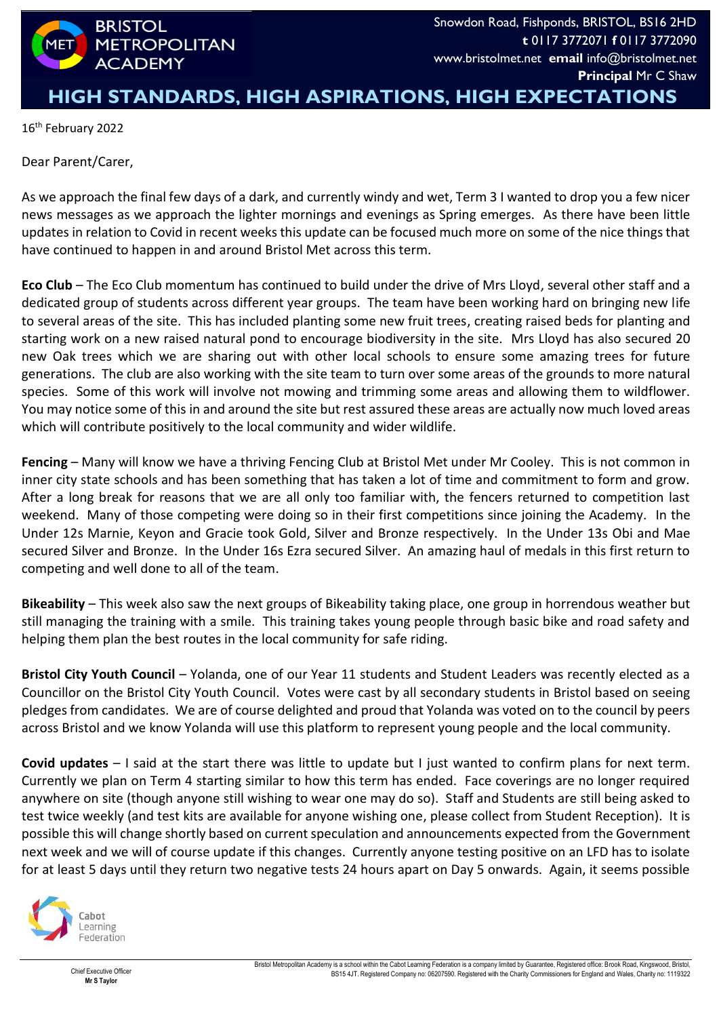

## **HIGH STANDARDS, HIGH ASPIRATIONS, HIGH EXPECTATIONS**

16th February 2022

Dear Parent/Carer,

As we approach the final few days of a dark, and currently windy and wet, Term 3 I wanted to drop you a few nicer news messages as we approach the lighter mornings and evenings as Spring emerges. As there have been little updates in relation to Covid in recent weeks this update can be focused much more on some of the nice things that have continued to happen in and around Bristol Met across this term.

**Eco Club** – The Eco Club momentum has continued to build under the drive of Mrs Lloyd, several other staff and a dedicated group of students across different year groups. The team have been working hard on bringing new life to several areas of the site. This has included planting some new fruit trees, creating raised beds for planting and starting work on a new raised natural pond to encourage biodiversity in the site. Mrs Lloyd has also secured 20 new Oak trees which we are sharing out with other local schools to ensure some amazing trees for future generations. The club are also working with the site team to turn over some areas of the grounds to more natural species. Some of this work will involve not mowing and trimming some areas and allowing them to wildflower. You may notice some of this in and around the site but rest assured these areas are actually now much loved areas which will contribute positively to the local community and wider wildlife.

**Fencing** – Many will know we have a thriving Fencing Club at Bristol Met under Mr Cooley. This is not common in inner city state schools and has been something that has taken a lot of time and commitment to form and grow. After a long break for reasons that we are all only too familiar with, the fencers returned to competition last weekend. Many of those competing were doing so in their first competitions since joining the Academy. In the Under 12s Marnie, Keyon and Gracie took Gold, Silver and Bronze respectively. In the Under 13s Obi and Mae secured Silver and Bronze. In the Under 16s Ezra secured Silver. An amazing haul of medals in this first return to competing and well done to all of the team.

**Bikeability** – This week also saw the next groups of Bikeability taking place, one group in horrendous weather but still managing the training with a smile. This training takes young people through basic bike and road safety and helping them plan the best routes in the local community for safe riding.

**Bristol City Youth Council** – Yolanda, one of our Year 11 students and Student Leaders was recently elected as a Councillor on the Bristol City Youth Council. Votes were cast by all secondary students in Bristol based on seeing pledges from candidates. We are of course delighted and proud that Yolanda was voted on to the council by peers across Bristol and we know Yolanda will use this platform to represent young people and the local community.

**Covid updates** – I said at the start there was little to update but I just wanted to confirm plans for next term. Currently we plan on Term 4 starting similar to how this term has ended. Face coverings are no longer required anywhere on site (though anyone still wishing to wear one may do so). Staff and Students are still being asked to test twice weekly (and test kits are available for anyone wishing one, please collect from Student Reception). It is possible this will change shortly based on current speculation and announcements expected from the Government next week and we will of course update if this changes. Currently anyone testing positive on an LFD has to isolate for at least 5 days until they return two negative tests 24 hours apart on Day 5 onwards. Again, it seems possible